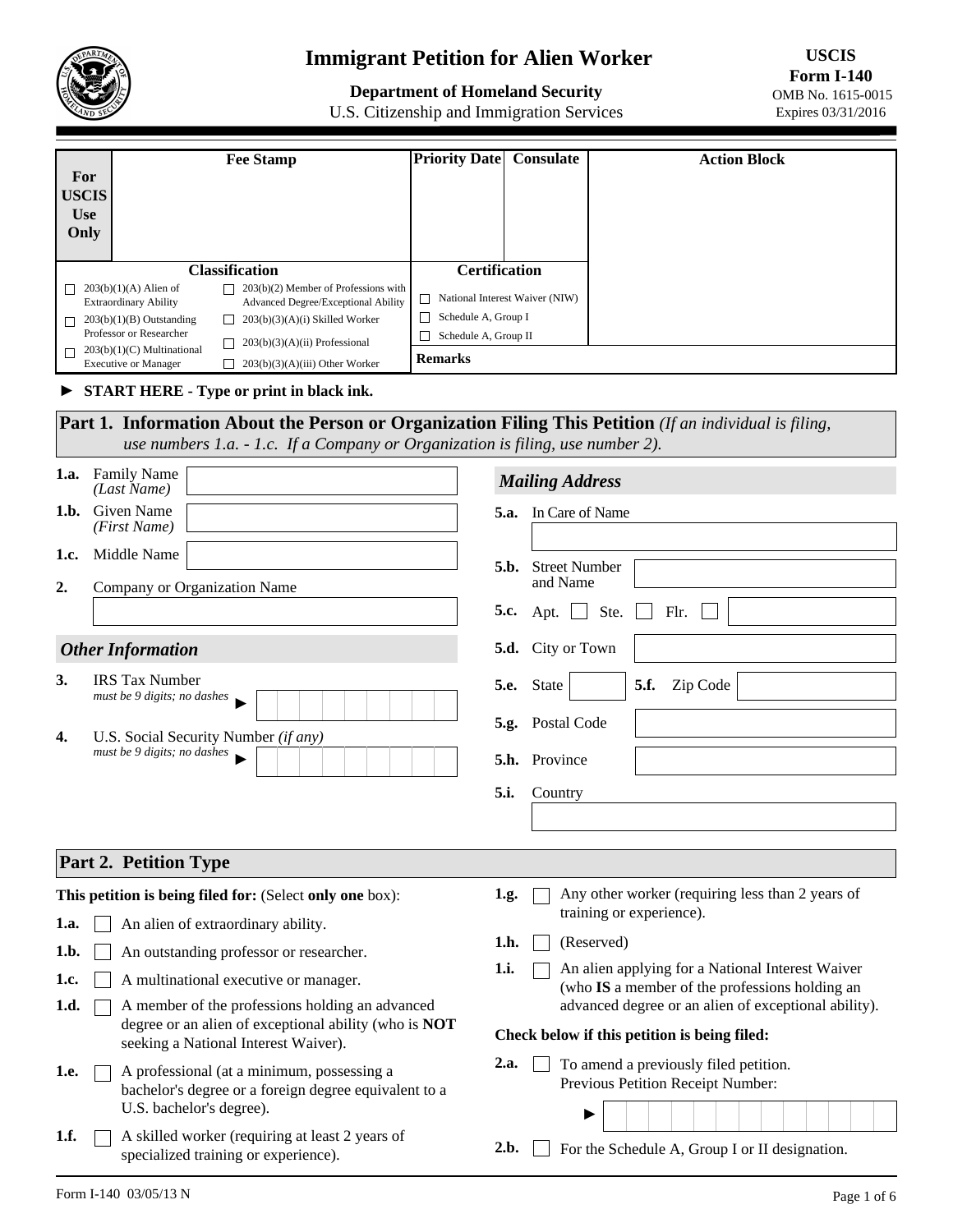

## **Immigrant Petition for Alien Worker**

**Department of Homeland Security** 

U.S. Citizenship and Immigration Services

**USCIS Form I-140**  OMB No. 1615-0015 Expires 03/31/2016

|                              | <b>Fee Stamp</b>                                                                                              | <b>Priority Date</b>                                                | <b>Consulate</b>           | <b>Action Block</b>                                                                                |  |
|------------------------------|---------------------------------------------------------------------------------------------------------------|---------------------------------------------------------------------|----------------------------|----------------------------------------------------------------------------------------------------|--|
| For                          |                                                                                                               |                                                                     |                            |                                                                                                    |  |
| <b>USCIS</b>                 |                                                                                                               |                                                                     |                            |                                                                                                    |  |
| <b>Use</b>                   |                                                                                                               |                                                                     |                            |                                                                                                    |  |
| Only                         |                                                                                                               |                                                                     |                            |                                                                                                    |  |
|                              | <b>Classification</b>                                                                                         | <b>Certification</b>                                                |                            |                                                                                                    |  |
|                              | $\Box$ 203(b)(2) Member of Professions with<br>$203(b)(1)(A)$ Alien of                                        |                                                                     |                            |                                                                                                    |  |
|                              | <b>Extraordinary Ability</b><br>Advanced Degree/Exceptional Ability                                           | $\Box$ National Interest Waiver (NIW)<br>$\Box$ Schedule A, Group I |                            |                                                                                                    |  |
|                              | $203(b)(3)(A)(i)$ Skilled Worker<br>$203(b)(1)(B)$ Outstanding<br>П<br>Professor or Researcher                | Schedule A, Group II                                                |                            |                                                                                                    |  |
|                              | $203(b)(3)(A)(ii)$ Professional<br>$203(b)(1)(C)$ Multinational<br>$203(b)(3)(A)(iii)$ Other Worker           | <b>Remarks</b>                                                      |                            |                                                                                                    |  |
|                              | П<br><b>Executive or Manager</b><br>START HERE - Type or print in black ink.                                  |                                                                     |                            |                                                                                                    |  |
|                              | <b>Part 1. Information About the Person or Organization Filing This Petition</b> (If an individual is filing, |                                                                     |                            |                                                                                                    |  |
|                              | use numbers $1.a. - 1.c.$ If a Company or Organization is filing, use number 2).                              |                                                                     |                            |                                                                                                    |  |
|                              |                                                                                                               |                                                                     |                            |                                                                                                    |  |
| 1.a.                         | <b>Family Name</b><br>(Last Name)                                                                             |                                                                     | <b>Mailing Address</b>     |                                                                                                    |  |
| 1.h.                         | Given Name<br>(First Name)                                                                                    |                                                                     | 5.a. In Care of Name       |                                                                                                    |  |
| 1.c.                         | Middle Name                                                                                                   |                                                                     | <b>Street Number</b>       |                                                                                                    |  |
| 2.                           | Company or Organization Name                                                                                  |                                                                     | 5.b.<br>and Name           |                                                                                                    |  |
|                              |                                                                                                               |                                                                     | 5.c.<br>Apt. $\Box$        | Ste.<br>Flr.                                                                                       |  |
|                              | <b>Other Information</b>                                                                                      |                                                                     | City or Town<br>5.d.       |                                                                                                    |  |
| 3.                           | <b>IRS</b> Tax Number                                                                                         |                                                                     | <b>5.e.</b><br>State       | 5.f.<br>Zip Code<br>$\blacktriangledown$                                                           |  |
|                              | must be 9 digits; no dashes                                                                                   |                                                                     | <b>Postal Code</b><br>5.g. |                                                                                                    |  |
| 4.                           | U.S. Social Security Number (if any)<br>must be 9 digits; no dashes                                           |                                                                     | 5.h. Province              |                                                                                                    |  |
|                              |                                                                                                               |                                                                     | 5.i.<br>Country            |                                                                                                    |  |
|                              |                                                                                                               |                                                                     |                            |                                                                                                    |  |
|                              |                                                                                                               |                                                                     |                            |                                                                                                    |  |
| <b>Part 2. Petition Type</b> |                                                                                                               |                                                                     |                            |                                                                                                    |  |
|                              | This petition is being filed for: (Select only one box):                                                      |                                                                     | 1.g.                       | Any other worker (requiring less than 2 years of                                                   |  |
| 1.a.                         | An alien of extraordinary ability.                                                                            |                                                                     |                            | training or experience).                                                                           |  |
| 1.b.                         | An outstanding professor or researcher.                                                                       |                                                                     | 1.h.                       | (Reserved)                                                                                         |  |
| 1.c.                         | A multinational executive or manager.                                                                         |                                                                     | 1.i.                       | An alien applying for a National Interest Waiver<br>(who IS a member of the professions holding an |  |
| 1.d.                         | A member of the professions holding an advanced                                                               |                                                                     |                            | advanced degree or an alien of exceptional ability).                                               |  |
|                              | degree or an alien of exceptional ability (who is NOT<br>seeking a National Interest Waiver).                 | Check below if this petition is being filed:                        |                            |                                                                                                    |  |
| 1.e.                         | A professional (at a minimum, possessing a                                                                    |                                                                     | 2.a.                       | To amend a previously filed petition.                                                              |  |
|                              | bachelor's degree or a foreign degree equivalent to a                                                         |                                                                     |                            | Previous Petition Receipt Number:                                                                  |  |

2.b.  $\Box$  For the Schedule A, Group I or II designation.

►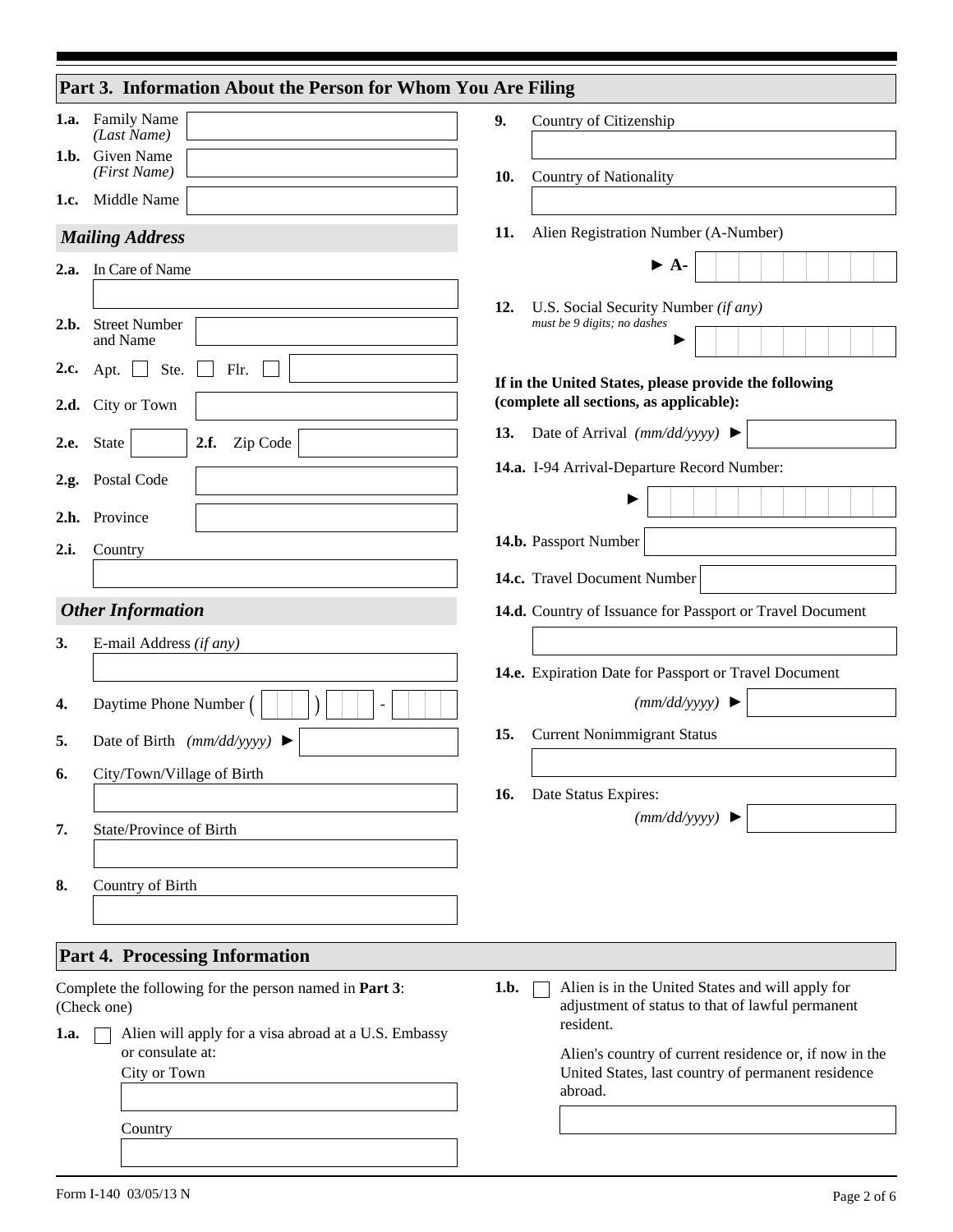|      | Part 3. Information About the Person for Whom You Are Filing             |      |                                                                                                              |
|------|--------------------------------------------------------------------------|------|--------------------------------------------------------------------------------------------------------------|
| 1.a. | <b>Family Name</b>                                                       | 9.   | Country of Citizenship                                                                                       |
| 1.b. | (Last Name)<br>Given Name                                                |      |                                                                                                              |
|      | (First Name)                                                             | 10.  | <b>Country of Nationality</b>                                                                                |
| 1.c. | Middle Name                                                              |      |                                                                                                              |
|      | <b>Mailing Address</b>                                                   | 11.  | Alien Registration Number (A-Number)                                                                         |
| 2.a. | In Care of Name                                                          |      | $\blacktriangleright$ A-                                                                                     |
|      |                                                                          | 12.  | U.S. Social Security Number (if any)                                                                         |
| 2.b. | <b>Street Number</b><br>and Name                                         |      | must be 9 digits; no dashes                                                                                  |
| 2.c. | Ste.<br>Flr.<br>Apt. $\Box$                                              |      | If in the United States, please provide the following                                                        |
|      | 2.d. City or Town                                                        |      | (complete all sections, as applicable):                                                                      |
| 2.e. | Zip Code<br>$\mathbf{r}$<br>2.f.<br>State                                | 13.  | Date of Arrival $(mm/dd/yyyy)$                                                                               |
| 2.g. | Postal Code                                                              |      | 14.a. I-94 Arrival-Departure Record Number:                                                                  |
|      |                                                                          |      |                                                                                                              |
| 2.h. | Province                                                                 |      | 14.b. Passport Number                                                                                        |
| 2.i. | Country                                                                  |      |                                                                                                              |
|      |                                                                          |      | 14.c. Travel Document Number                                                                                 |
|      | <b>Other Information</b>                                                 |      | 14.d. Country of Issuance for Passport or Travel Document                                                    |
| 3.   | E-mail Address (if any)                                                  |      |                                                                                                              |
|      |                                                                          |      | 14.e. Expiration Date for Passport or Travel Document                                                        |
| 4.   | Daytime Phone Number (                                                   |      | (mm/dd/yyyy)                                                                                                 |
| 5.   | Date of Birth $(mm/dd/yyyy)$                                             | 15.  | <b>Current Nonimmigrant Status</b>                                                                           |
| 6.   | City/Town/Village of Birth                                               |      |                                                                                                              |
|      |                                                                          | 16.  | Date Status Expires:<br>(mm/dd/yyyy)                                                                         |
| 7.   | State/Province of Birth                                                  |      |                                                                                                              |
|      |                                                                          |      |                                                                                                              |
| 8.   | Country of Birth                                                         |      |                                                                                                              |
|      |                                                                          |      |                                                                                                              |
|      | <b>Part 4. Processing Information</b>                                    |      |                                                                                                              |
|      | Complete the following for the person named in Part 3:<br>(Check one)    | 1.b. | Alien is in the United States and will apply for<br>adjustment of status to that of lawful permanent         |
| 1.a. | Alien will apply for a visa abroad at a U.S. Embassy<br>or consulate at: |      | resident.                                                                                                    |
|      | City or Town                                                             |      | Alien's country of current residence or, if now in the<br>United States, last country of permanent residence |
|      |                                                                          |      | abroad.                                                                                                      |
|      | Country                                                                  |      |                                                                                                              |
|      |                                                                          |      |                                                                                                              |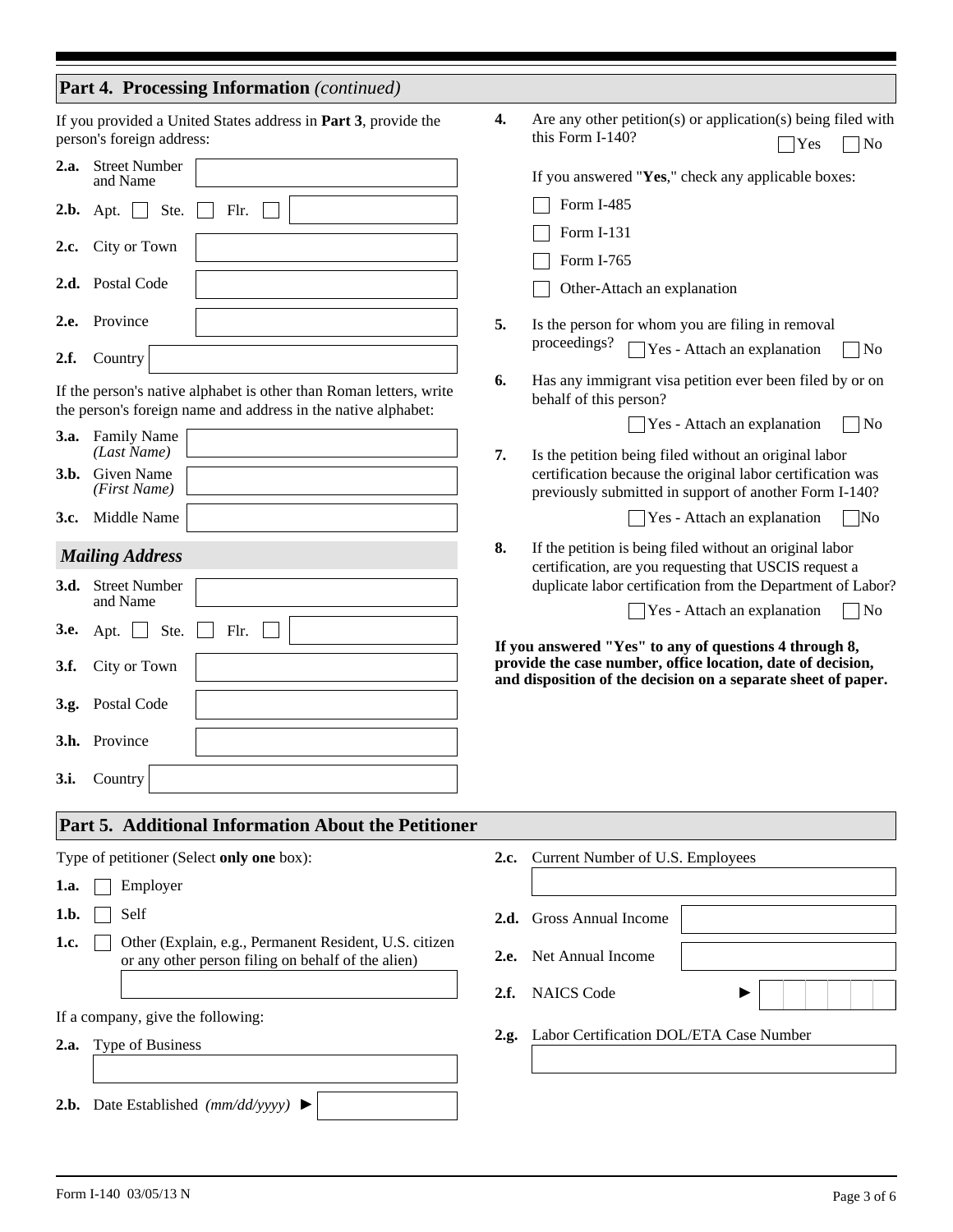|  |  | Part 4. Processing Information (continued) |  |
|--|--|--------------------------------------------|--|
|--|--|--------------------------------------------|--|

|      | person's foreign address:                 | If you provided a United States address in <b>Part 3</b> , provide the                                                              | 4.   | Are any other petition(s) or application(s) being filed with<br>this Form I-140?<br>Yes<br>$\blacksquare$ No                                                                  |
|------|-------------------------------------------|-------------------------------------------------------------------------------------------------------------------------------------|------|-------------------------------------------------------------------------------------------------------------------------------------------------------------------------------|
| 2.a. | <b>Street Number</b><br>and Name          |                                                                                                                                     |      | If you answered "Yes," check any applicable boxes:                                                                                                                            |
| 2.b. | Ste.<br>Apt. $\Box$                       | Flr.                                                                                                                                |      | Form I-485                                                                                                                                                                    |
|      | City or Town                              |                                                                                                                                     |      | Form I-131                                                                                                                                                                    |
| 2.c. |                                           |                                                                                                                                     |      | Form I-765                                                                                                                                                                    |
|      | 2.d. Postal Code                          |                                                                                                                                     |      | Other-Attach an explanation                                                                                                                                                   |
| 2.e. | Province                                  |                                                                                                                                     | 5.   | Is the person for whom you are filing in removal<br>proceedings?                                                                                                              |
| 2.f. | Country                                   |                                                                                                                                     |      | $\Box$ Yes - Attach an explanation<br>$\Box$ No                                                                                                                               |
|      |                                           | If the person's native alphabet is other than Roman letters, write<br>the person's foreign name and address in the native alphabet: | 6.   | Has any immigrant visa petition ever been filed by or on<br>behalf of this person?                                                                                            |
| 3.a. | <b>Family Name</b>                        |                                                                                                                                     |      | $\neg$ No<br>$\sqrt{\text{Yes - Attack}}$ Attach an explanation                                                                                                               |
| 3.b. | (Last Name)<br>Given Name<br>(First Name) |                                                                                                                                     | 7.   | Is the petition being filed without an original labor<br>certification because the original labor certification was<br>previously submitted in support of another Form I-140? |
| 3.c. | Middle Name                               |                                                                                                                                     |      | Yes - Attach an explanation<br>N <sub>o</sub>                                                                                                                                 |
|      | <b>Mailing Address</b>                    |                                                                                                                                     | 8.   | If the petition is being filed without an original labor                                                                                                                      |
| 3.d. | <b>Street Number</b><br>and Name          |                                                                                                                                     |      | certification, are you requesting that USCIS request a<br>duplicate labor certification from the Department of Labor?                                                         |
| 3.e. | Ste.<br>Apt. $\Box$                       | Flr.                                                                                                                                |      | $\neg$ No<br>Yes - Attach an explanation                                                                                                                                      |
|      |                                           |                                                                                                                                     |      | If you answered "Yes" to any of questions 4 through 8,                                                                                                                        |
| 3.f. | City or Town                              |                                                                                                                                     |      | provide the case number, office location, date of decision,<br>and disposition of the decision on a separate sheet of paper.                                                  |
|      | 3.g. Postal Code                          |                                                                                                                                     |      |                                                                                                                                                                               |
|      | 3.h. Province                             |                                                                                                                                     |      |                                                                                                                                                                               |
| 3.i. | Country                                   |                                                                                                                                     |      |                                                                                                                                                                               |
|      |                                           | <b>Part 5. Additional Information About the Petitioner</b>                                                                          |      |                                                                                                                                                                               |
|      |                                           | Type of petitioner (Select only one box):                                                                                           | 2.c. | Current Number of U.S. Employees                                                                                                                                              |
| 1.a. | Employer                                  |                                                                                                                                     |      |                                                                                                                                                                               |
| 1.b. | Self                                      |                                                                                                                                     | 2.d. | <b>Gross Annual Income</b>                                                                                                                                                    |
| 1.c. |                                           | Other (Explain, e.g., Permanent Resident, U.S. citizen                                                                              |      |                                                                                                                                                                               |
|      |                                           | or any other person filing on behalf of the alien)                                                                                  | 2.e. | Net Annual Income                                                                                                                                                             |
|      |                                           |                                                                                                                                     | 2.f. | <b>NAICS</b> Code                                                                                                                                                             |
|      | If a company, give the following:         |                                                                                                                                     | 2.g. | Labor Certification DOL/ETA Case Number                                                                                                                                       |
| 2.a. | Type of Business                          |                                                                                                                                     |      |                                                                                                                                                                               |
|      |                                           |                                                                                                                                     |      |                                                                                                                                                                               |
|      |                                           | <b>2.b.</b> Date Established ( $mm/dd/yyyy$ ) $\blacktriangleright$                                                                 |      |                                                                                                                                                                               |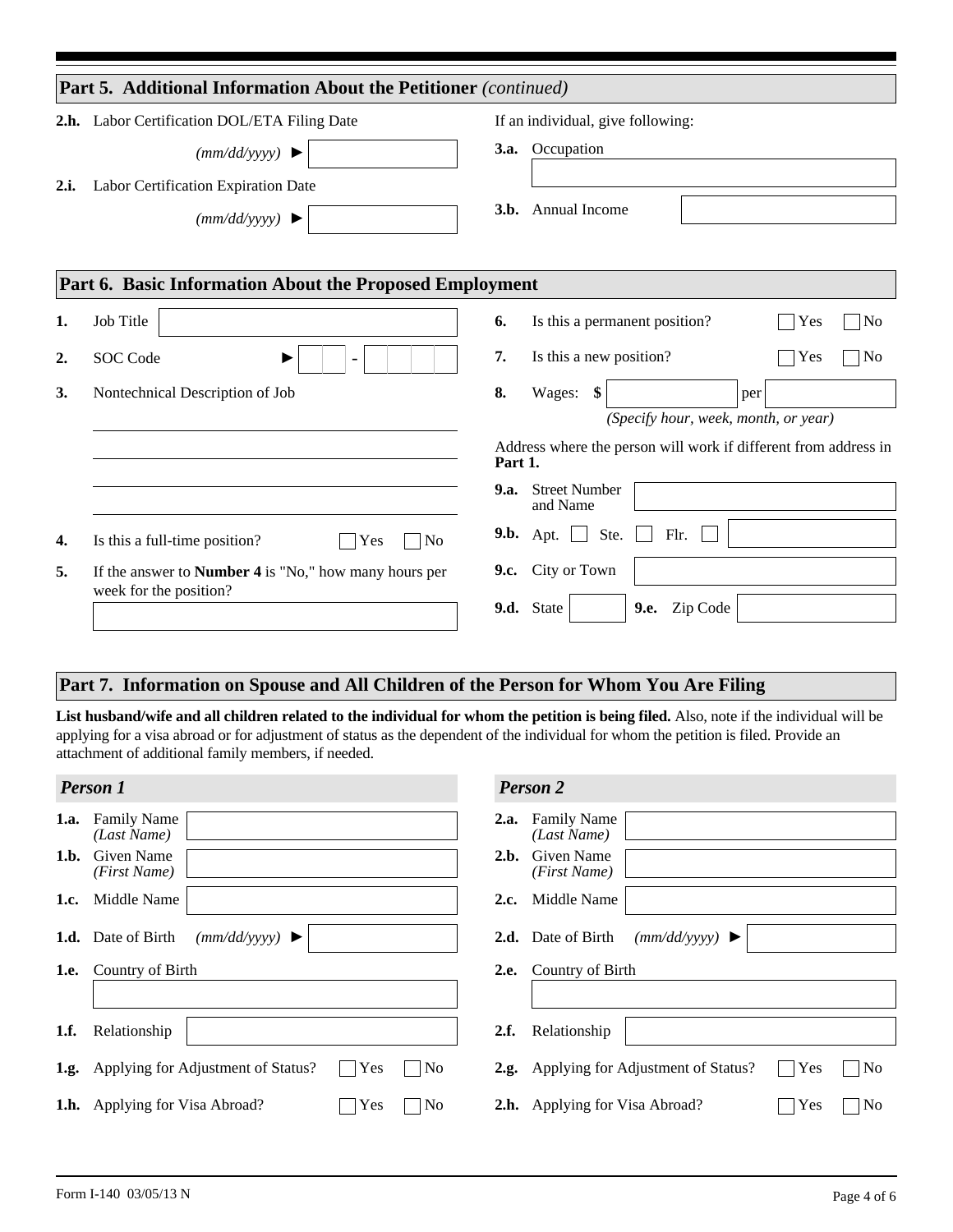|      | <b>Part 5. Additional Information About the Petitioner</b> (continued) |             |                                                                 |                       |
|------|------------------------------------------------------------------------|-------------|-----------------------------------------------------------------|-----------------------|
|      | 2.h. Labor Certification DOL/ETA Filing Date                           |             | If an individual, give following:                               |                       |
|      | (mm/dd/yyyy)                                                           | <b>3.a.</b> | Occupation                                                      |                       |
| 2.i. | Labor Certification Expiration Date                                    |             |                                                                 |                       |
|      | (mm/dd/yyyy)                                                           | 3.b.        | Annual Income                                                   |                       |
|      |                                                                        |             |                                                                 |                       |
|      | Part 6. Basic Information About the Proposed Employment                |             |                                                                 |                       |
| 1.   | Job Title                                                              | 6.          | Is this a permanent position?                                   | Yes<br>N <sub>o</sub> |
| 2.   | <b>SOC</b> Code<br>▶<br>$\overline{\phantom{a}}$                       | 7.          | Is this a new position?                                         | Yes<br> No            |
| 3.   | Nontechnical Description of Job                                        | 8.          | Wages:<br>\$                                                    | per                   |
|      |                                                                        |             | (Specify hour, week, month, or year)                            |                       |
|      |                                                                        | Part 1.     | Address where the person will work if different from address in |                       |
|      |                                                                        | <b>9.a.</b> | <b>Street Number</b><br>and Name                                |                       |
| 4.   | Is this a full-time position?<br>N <sub>o</sub><br>Yes                 |             | Ste.<br>Flr.<br><b>9.b.</b> Apt. $\Box$                         |                       |
| 5.   | If the answer to <b>Number 4</b> is "No," how many hours per           | 9.c.        | City or Town                                                    |                       |
|      | week for the position?                                                 |             | 9.d. State<br>Zip Code<br>9.e.                                  |                       |

## **Part 7. Information on Spouse and All Children of the Person for Whom You Are Filing**

List husband/wife and all children related to the individual for whom the petition is being filed. Also, note if the individual will be applying for a visa abroad or for adjustment of status as the dependent of the individual for whom the petition is filed. Provide an attachment of additional family members, if needed.

|      | <b>Person 1</b>                                                   | <b>Person 2</b>                                                         |
|------|-------------------------------------------------------------------|-------------------------------------------------------------------------|
| 1.a. | <b>Family Name</b><br>(Last Name)                                 | <b>Family Name</b><br>2.a.<br>(Last Name)                               |
| 1.b. | Given Name<br>(First Name)                                        | <b>Given Name</b><br>2.b.<br>(First Name)                               |
| 1.c. | Middle Name                                                       | Middle Name<br>2.c.                                                     |
|      | 1.d. Date of Birth<br>(mm/dd/yyyy)                                | 2.d. Date of Birth<br>(mm/dd/yyyy)                                      |
|      | <b>1.e.</b> Country of Birth                                      | 2.e. Country of Birth                                                   |
|      |                                                                   |                                                                         |
| 1.f. | Relationship                                                      | 2.f.<br>Relationship                                                    |
| 1.g. | Applying for Adjustment of Status?<br>Yes<br>No<br>$\blacksquare$ | $\Box$ Yes<br>2.g. Applying for Adjustment of Status?<br>N <sub>0</sub> |
|      | No<br>Yes<br><b>1.h.</b> Applying for Visa Abroad?                | N <sub>o</sub><br>Yes<br>2.h. Applying for Visa Abroad?                 |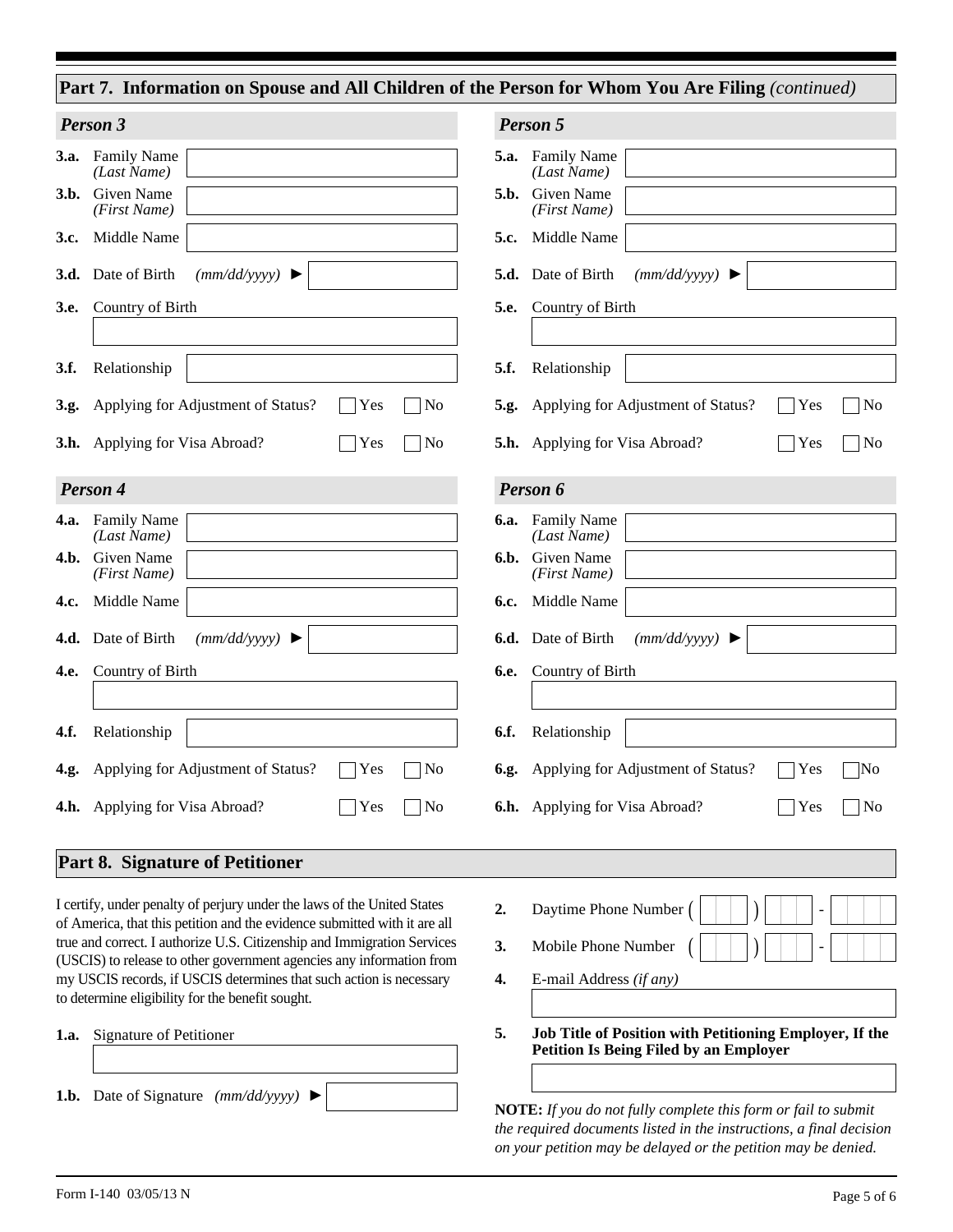|                                                                           | Part 7. Information on Spouse and All Children of the Person for Whom You Are Filing (continued) |
|---------------------------------------------------------------------------|--------------------------------------------------------------------------------------------------|
| Person 3                                                                  | Person 5                                                                                         |
| 3.a. Family Name                                                          | 5.a. Family Name                                                                                 |
| (Last Name)                                                               | (Last Name)                                                                                      |
| <b>Given Name</b>                                                         | <b>Given Name</b>                                                                                |
| 3.b.                                                                      | 5.b.                                                                                             |
| (First Name)                                                              | (First Name)                                                                                     |
| Middle Name                                                               | Middle Name                                                                                      |
| 3.c.                                                                      | 5.c.                                                                                             |
| (mm/dd/yyyy)                                                              | (mm/dd/yyyy)                                                                                     |
| 3.d. Date of Birth                                                        | 5.d. Date of Birth                                                                               |
| Country of Birth                                                          | Country of Birth                                                                                 |
| 3.e.                                                                      | 5.e.                                                                                             |
| 3.f.                                                                      | 5.f.                                                                                             |
| Relationship                                                              | Relationship                                                                                     |
| Applying for Adjustment of Status?<br>Yes<br>3.g.                         | No<br>N <sub>o</sub><br>Applying for Adjustment of Status?<br>Yes<br>5.g.                        |
| <b>3.h.</b> Applying for Visa Abroad?<br>Yes                              | No<br>N <sub>0</sub><br><b>5.h.</b> Applying for Visa Abroad?<br>Yes                             |
| Person 4                                                                  | Person 6                                                                                         |
| <b>Family Name</b><br>4.a.<br>(Last Name)                                 | <b>6.a.</b> Family Name<br>(Last Name)                                                           |
| Given Name                                                                | Given Name                                                                                       |
| 4.b.                                                                      | 6.b.                                                                                             |
| (First Name)                                                              | (First Name)                                                                                     |
| Middle Name                                                               | Middle Name                                                                                      |
| 4.c.                                                                      | 6.c.                                                                                             |
| 4.d. Date of Birth                                                        | <b>6.d.</b> Date of Birth                                                                        |
| (mm/dd/yyyy)                                                              | (mm/dd/yyyy)                                                                                     |
| Country of Birth                                                          | Country of Birth                                                                                 |
| 4.e.                                                                      | 6.e.                                                                                             |
|                                                                           |                                                                                                  |
| 4.f.                                                                      | 6.f.                                                                                             |
| Relationship                                                              | Relationship                                                                                     |
| 4.g. Applying for Adjustment of Status?<br>Yes                            | 6.g. Applying for Adjustment of Status?<br>No<br>Yes<br>$\overline{\rm No}$                      |
| <b>4.h.</b> Applying for Visa Abroad?<br>Yes                              | <b>6.h.</b> Applying for Visa Abroad?<br>N <sub>0</sub><br>Yes<br>No                             |
| <b>Part 8. Signature of Petitioner</b>                                    |                                                                                                  |
| I certify, under penalty of perjury under the laws of the United States   | Daytime Phone Number<br>2.                                                                       |
| of America, that this petition and the evidence submitted with it are all | Mobile Phone Number                                                                              |
| true and correct. I authorize U.S. Citizenship and Immigration Services   | 3.                                                                                               |
| (USCIS) to release to other government agencies any information from      | E-mail Address (if any)                                                                          |
| my USCIS records, if USCIS determines that such action is necessary       | 4.                                                                                               |

**1.a.** Signature of Petitioner

to determine eligibility for the benefit sought.

**1.b.** Date of Signature *(mm/dd/yyyy)* ►

**Job Title of Position with Petitioning Employer, If the Petition Is Being Filed by an Employer 5.**

**NOTE:** *If you do not fully complete this form or fail to submit the required documents listed in the instructions, a final decision on your petition may be delayed or the petition may be denied.*